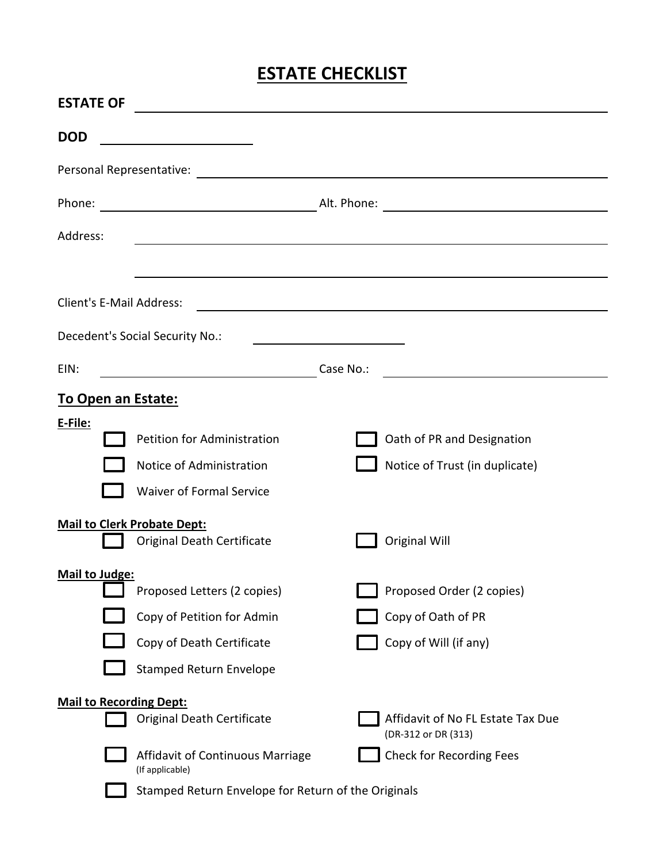# **ESTATE CHECKLIST**

| <b>ESTATE OF</b>                |                                                                  |           |                                                            |  |  |
|---------------------------------|------------------------------------------------------------------|-----------|------------------------------------------------------------|--|--|
| <b>DOD</b>                      | <u> 1980 - Johann Barbara, martin a</u>                          |           |                                                            |  |  |
|                                 |                                                                  |           |                                                            |  |  |
|                                 |                                                                  |           |                                                            |  |  |
| Address:                        |                                                                  |           | <u> 1989 - Johann Johann Harry Communication (f. 1989)</u> |  |  |
|                                 |                                                                  |           |                                                            |  |  |
| <b>Client's E-Mail Address:</b> |                                                                  |           |                                                            |  |  |
|                                 | Decedent's Social Security No.:                                  |           |                                                            |  |  |
| EIN:                            | <u> 1980 - Johann Barn, mars eta bainar eta idazlea (</u>        | Case No.: | <u> 1989 - Johann John Stone, mensk politik (d. 1989)</u>  |  |  |
| To Open an Estate:              |                                                                  |           |                                                            |  |  |
| E-File:                         | Petition for Administration                                      |           | Oath of PR and Designation                                 |  |  |
|                                 | Notice of Administration                                         |           | Notice of Trust (in duplicate)                             |  |  |
|                                 | <b>Waiver of Formal Service</b>                                  |           |                                                            |  |  |
|                                 | <b>Mail to Clerk Probate Dept:</b><br>Original Death Certificate |           | <b>Original Will</b>                                       |  |  |
| Mail to Judge:                  | Proposed Letters (2 copies)                                      |           | Proposed Order (2 copies)                                  |  |  |
|                                 | Copy of Petition for Admin                                       |           | Copy of Oath of PR                                         |  |  |
|                                 | Copy of Death Certificate                                        |           | Copy of Will (if any)                                      |  |  |
|                                 | <b>Stamped Return Envelope</b>                                   |           |                                                            |  |  |
| <b>Mail to Recording Dept:</b>  | Original Death Certificate                                       |           | Affidavit of No FL Estate Tax Due<br>(DR-312 or DR (313)   |  |  |
|                                 | Affidavit of Continuous Marriage<br>(If applicable)              |           | <b>Check for Recording Fees</b>                            |  |  |
|                                 | Stamped Return Envelope for Return of the Originals              |           |                                                            |  |  |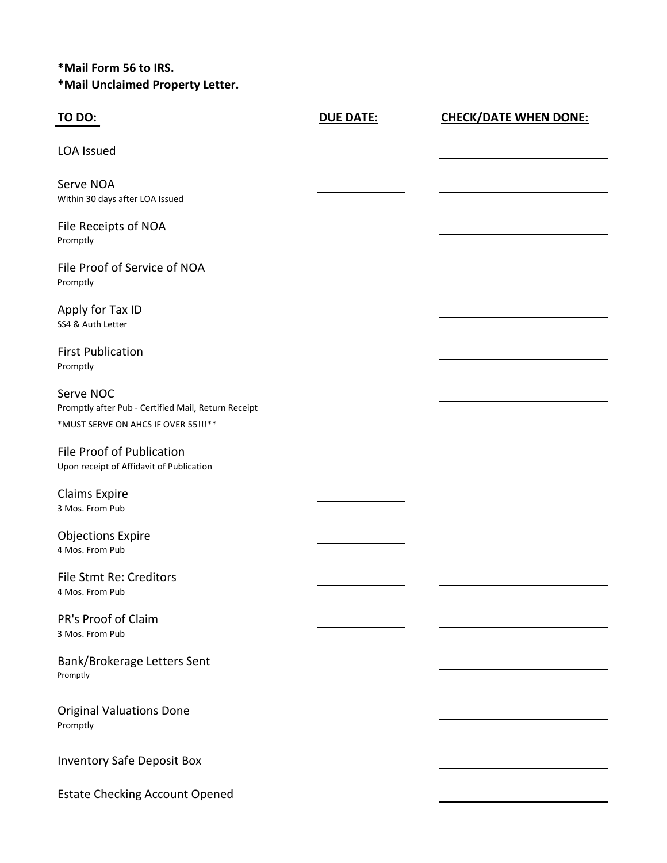# **\*Mail Form 56 to IRS. \*Mail Unclaimed Property Letter.**

| <b>TO DO:</b>                                                                                            | <b>DUE DATE:</b> | <b>CHECK/DATE WHEN DONE:</b> |
|----------------------------------------------------------------------------------------------------------|------------------|------------------------------|
| <b>LOA Issued</b>                                                                                        |                  |                              |
| Serve NOA<br>Within 30 days after LOA Issued                                                             |                  |                              |
| File Receipts of NOA<br>Promptly                                                                         |                  |                              |
| File Proof of Service of NOA<br>Promptly                                                                 |                  |                              |
| Apply for Tax ID<br>SS4 & Auth Letter                                                                    |                  |                              |
| <b>First Publication</b><br>Promptly                                                                     |                  |                              |
| Serve NOC<br>Promptly after Pub - Certified Mail, Return Receipt<br>*MUST SERVE ON AHCS IF OVER 55!!! ** |                  |                              |
| File Proof of Publication<br>Upon receipt of Affidavit of Publication                                    |                  |                              |
| <b>Claims Expire</b><br>3 Mos. From Pub                                                                  |                  |                              |
| <b>Objections Expire</b><br>4 Mos. From Pub                                                              |                  |                              |
| File Stmt Re: Creditors<br>4 Mos. From Pub                                                               |                  |                              |
| PR's Proof of Claim<br>3 Mos. From Pub                                                                   |                  |                              |
| Bank/Brokerage Letters Sent<br>Promptly                                                                  |                  |                              |
| <b>Original Valuations Done</b><br>Promptly                                                              |                  |                              |
| <b>Inventory Safe Deposit Box</b>                                                                        |                  |                              |
| <b>Estate Checking Account Opened</b>                                                                    |                  |                              |